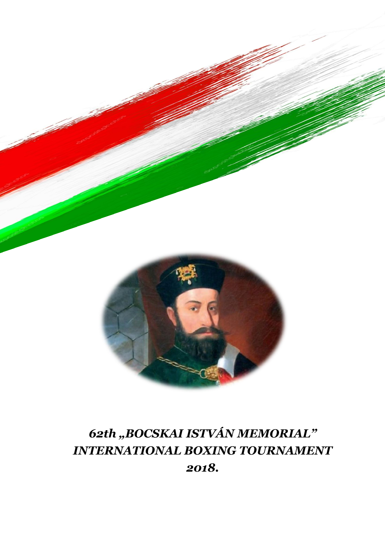

# *62th "BOCSKAI ISTVÁN MEMORIAL" INTERNATIONAL BOXING TOURNAMENT 2018.*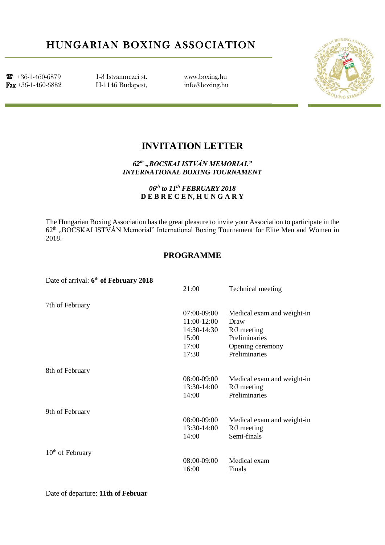## HUNGARIAN BOXING ASSOCIATION

 $\bullet$  +36-1-460-6879 Fax +36-1-460-6882

1-3 Istvanmezei st. H-1146 Budapest, www.boxing.hu [info@boxing.hu](mailto:info@boxing.hu)



### **INVITATION LETTER**

*62th "BOCSKAI ISTVÁN MEMORIAL" INTERNATIONAL BOXING TOURNAMENT*

> *06th to 11th FEBRUARY 2018* **D E B R E C E N, H U N G A R Y**

The Hungarian Boxing Association has the great pleasure to invite your Association to participate in the 62<sup>th</sup> "BOCSKAI ISTVÁN Memorial" International Boxing Tournament for Elite Men and Women in 2018.

#### **PROGRAMME**

| Date of arrival: 6 <sup>th</sup> of February 2018 |             |                            |
|---------------------------------------------------|-------------|----------------------------|
|                                                   | 21:00       | Technical meeting          |
| 7th of February                                   |             |                            |
|                                                   | 07:00-09:00 | Medical exam and weight-in |
|                                                   | 11:00-12:00 | Draw                       |
|                                                   | 14:30-14:30 | $R/J$ meeting              |
|                                                   | 15:00       | Preliminaries              |
|                                                   | 17:00       | Opening ceremony           |
|                                                   | 17:30       | Preliminaries              |
| 8th of February                                   |             |                            |
|                                                   | 08:00-09:00 | Medical exam and weight-in |
|                                                   | 13:30-14:00 | $R/J$ meeting              |
|                                                   | 14:00       | Preliminaries              |
| 9th of February                                   |             |                            |
|                                                   | 08:00-09:00 | Medical exam and weight-in |
|                                                   | 13:30-14:00 | $R/J$ meeting              |
|                                                   | 14:00       | Semi-finals                |
| $10th$ of February                                |             |                            |
|                                                   | 08:00-09:00 | Medical exam               |
|                                                   | 16:00       | Finals                     |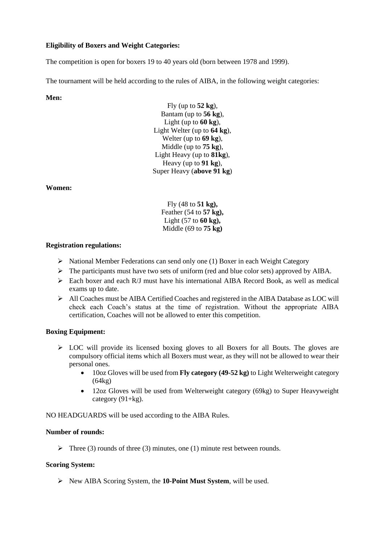#### **Eligibility of Boxers and Weight Categories:**

The competition is open for boxers 19 to 40 years old (born between 1978 and 1999).

The tournament will be held according to the rules of AIBA, in the following weight categories:

#### **Men:**

Fly (up to **52 kg**), Bantam (up to **56 kg**), Light (up to **60 kg**), Light Welter (up to **64 kg**), Welter (up to **69 kg**), Middle (up to **75 kg**), Light Heavy (up to **81kg**), Heavy (up to **91 kg**), Super Heavy (**above 91 kg**)

**Women:**

Fly (48 to **51 kg),** Feather (54 to **57 kg),** Light (57 to **60 kg),** Middle (69 to **75 kg)**

#### **Registration regulations:**

- $\triangleright$  National Member Federations can send only one (1) Boxer in each Weight Category
- $\triangleright$  The participants must have two sets of uniform (red and blue color sets) approved by AIBA.
- $\triangleright$  Each boxer and each R/J must have his international AIBA Record Book, as well as medical exams up to date.
- All Coaches must be AIBA Certified Coaches and registered in the AIBA Database as LOC will check each Coach's status at the time of registration. Without the appropriate AIBA certification, Coaches will not be allowed to enter this competition.

#### **Boxing Equipment:**

- $\triangleright$  LOC will provide its licensed boxing gloves to all Boxers for all Bouts. The gloves are compulsory official items which all Boxers must wear, as they will not be allowed to wear their personal ones.
	- 10oz Gloves will be used from **Fly category (49-52 kg)** to Light Welterweight category (64kg)
	- 12oz Gloves will be used from Welterweight category (69kg) to Super Heavyweight category  $(91+kg)$ .

NO HEADGUARDS will be used according to the AIBA Rules.

#### **Number of rounds:**

Three (3) rounds of three (3) minutes, one (1) minute rest between rounds.

#### **Scoring System:**

New AIBA Scoring System, the **10-Point Must System**, will be used.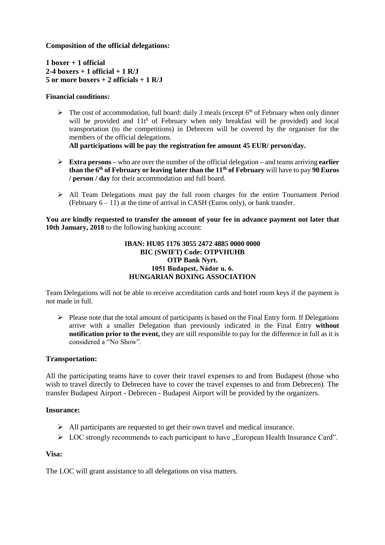**Composition of the official delegations:**

**1 boxer + 1 official 2-4 boxers + 1 official + 1 R/J 5 or more boxers + 2 officials + 1 R/J**

#### **Financial conditions:**

 $\triangleright$  The cost of accommodation, full board: daily 3 meals (except 6<sup>th</sup> of February when only dinner will be provided and 11<sup>th</sup> of February when only breakfast will be provided) and local transportation (to the competitions) in Debrecen will be covered by the organiser for the members of the official delegations.

**All participations will be pay the registration fee amount 45 EUR/ person/day.** 

- **Extra persons –** who are over the number of the official delegation **–** and teams arriving **earlier than the 6th of February or leaving later than the 11th of February** will have to pay **90 Euros / person / day** for their accommodation and full board.
- All Team Delegations must pay the full room charges for the entire Tournament Period (February  $6 - 11$ ) at the time of arrival in CASH (Euros only), or bank transfer.

**You are kindly requested to transfer the amount of your fee in advance payment not later that 10th January, 2018** to the following banking account:

#### **IBAN: HU05 1176 3055 2472 4885 0000 0000 BIC (SWIFT) Code: OTPVHUHB OTP Bank Nyrt. 1051 Budapest, Nádor u. 6. HUNGARIAN BOXING ASSOCIATION**

Team Delegations will not be able to receive accreditation cards and hotel room keys if the payment is not made in full.

 $\triangleright$  Please note that the total amount of participants is based on the Final Entry form. If Delegations arrive with a smaller Delegation than previously indicated in the Final Entry **without notification prior to the event,** they are still responsible to pay for the difference in full as it is considered a "No Show".

#### **Transportation:**

All the participating teams have to cover their travel expenses to and from Budapest (those who wish to travel directly to Debrecen have to cover the travel expenses to and from Debrecen). The transfer Budapest Airport - Debrecen - Budapest Airport will be provided by the organizers.

#### **Insurance:**

- $\triangleright$  All participants are requested to get their own travel and medical insurance.
- $\triangleright$  LOC strongly recommends to each participant to have "European Health Insurance Card".

#### **Visa:**

The LOC will grant assistance to all delegations on visa matters.